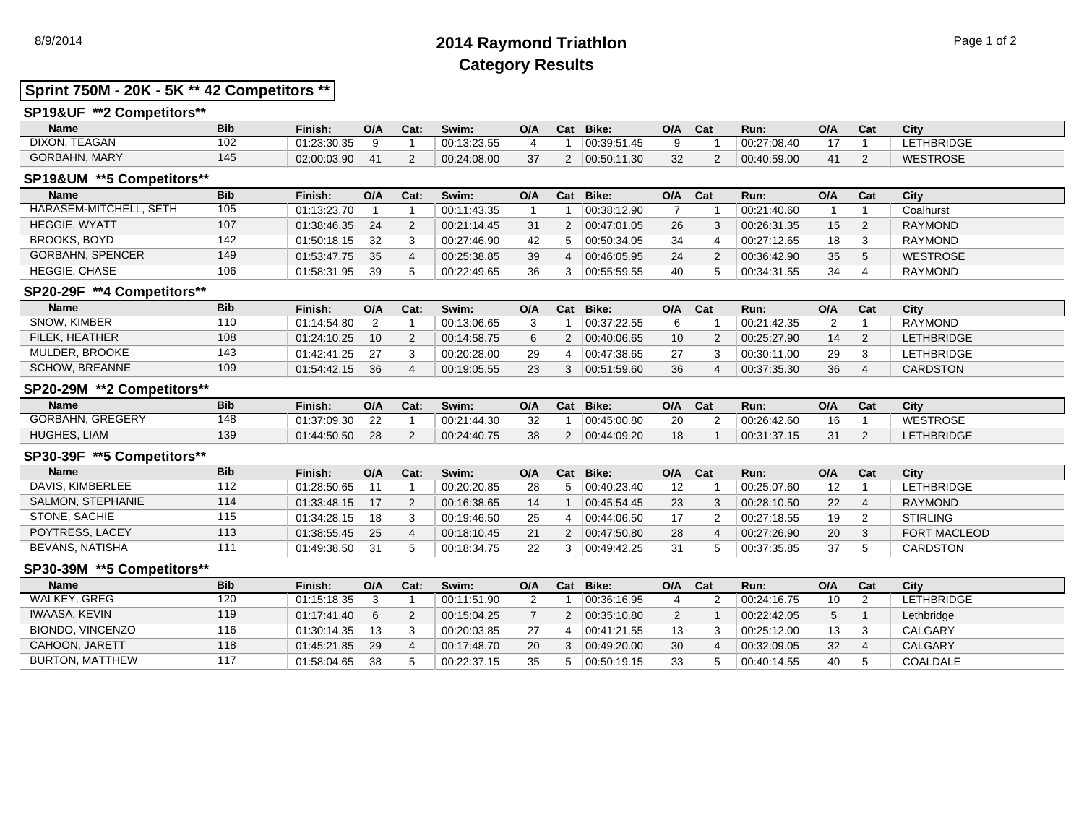# 8/9/2014 **2014 Raymond Triathlon** Page 1 of 2 **Category Results**

## **Sprint 750M - 20K - 5K \*\* 42 Competitors \*\***

## **SP19&UF \*\*2 Competitors\*\***

| <b>Name</b>          | <b>Bib</b> | Finish.     | O/A | Cat: | Swim:       | O/A | Cat | Bike:       | O/A | Cat | Run:        | O/A | ~-<br>Cat | City             |
|----------------------|------------|-------------|-----|------|-------------|-----|-----|-------------|-----|-----|-------------|-----|-----------|------------------|
| TEAGAN<br>DIXON.     | 102        | 01:23:30.35 |     |      | 00:13:23.55 |     |     | 00:39:51.45 |     |     | 00:27:08.40 |     |           | <b>ETHBRIDGE</b> |
| <b>GORBAHN, MARY</b> | 145        | 02:00:03.90 |     |      | 00:24:08.00 | 37  |     | 00:50:11.30 | 32  |     | 00:40:59.00 |     |           | <b>WESTROSE</b>  |

### **SP19&UM \*\*5 Competitors\*\***

| <b>Name</b>             | <b>Bib</b> | Finish:     | O/A | Cat: | Swim:       | O/A | Cat | Bike:       | O/A | Cat | Run:        | O/A | Cat | City            |
|-------------------------|------------|-------------|-----|------|-------------|-----|-----|-------------|-----|-----|-------------|-----|-----|-----------------|
| HARASEM-MITCHELL, SETH  | 105        | 01:13:23.70 |     |      | 00:11:43.35 |     |     | 00:38:12.90 |     |     | 00:21:40.60 |     |     | Coalhurst       |
| <b>HEGGIE, WYATT</b>    | 107        | 01:38:46.35 | 24  |      | 00:21:14.45 | 31  |     | 00:47:01.05 | 26  |     | 00:26:31.35 | 15  |     | <b>RAYMOND</b>  |
| BROOKS, BOYD            | 142        | 01:50:18.15 | 32  |      | 00:27:46.90 | 42  |     | 00:50:34.05 | 34  |     | 00:27:12.65 | 18  |     | RAYMOND         |
| <b>GORBAHN, SPENCER</b> | 149        | 01:53:47.75 | 35  |      | 00:25:38.85 | 39  |     | 00.46.05.95 | 24  |     | 00:36:42.90 | 35  |     | <b>WESTROSE</b> |
| <b>HEGGIE, CHASE</b>    | 106        | 01:58:31.95 | 39  |      | 00:22:49.65 | 36  |     | 00:55:59.55 | 40  |     | 00:34:31.55 | 34  |     | RAYMOND         |

### **SP20-29F \*\*4 Competitors\*\***

| <b>Name</b>           | <b>Bib</b> | Finish:     | O/A | Cat: | Swim:       | O/A | Cat | Bike:       | O/A | Cat | Run:        | O/A | Cat | City              |
|-----------------------|------------|-------------|-----|------|-------------|-----|-----|-------------|-----|-----|-------------|-----|-----|-------------------|
| <b>SNOW, KIMBER</b>   | 110        | 01:14:54.80 |     |      | 00:13:06.65 |     |     | 00:37:22.55 |     |     | 00:21:42.35 |     |     | RAYMOND           |
| FILEK, HEATHER        | 108        | 01:24:10.25 | 10  |      | 00:14:58.75 |     |     | 00:40:06.65 | 10  |     | 00:25:27.90 | 14  |     | <b>LETHBRIDGE</b> |
| MULDER, BROOKE        | 143        | 01:42:41.25 |     |      | 00:20:28.00 | 29  |     | 00:47:38.65 |     |     | 00:30:11.00 | 29  |     | <b>LETHBRIDGE</b> |
| <b>SCHOW, BREANNE</b> | 109        | 01:54:42.15 | 36  |      | 00:19:05.55 | 23  |     | 00:51:59.60 |     |     | 00:37:35.30 | 36  |     | <b>CARDSTON</b>   |

## **SP20-29M \*\*2 Competitors\*\***

| Name             | <b>Bib</b> | Finish:     | O/A    | Cat: | Swim:       | O/A | Cat | Bike:       | O/A | Cat | Run:        | O/A | Cat | City              |
|------------------|------------|-------------|--------|------|-------------|-----|-----|-------------|-----|-----|-------------|-----|-----|-------------------|
| GORBAHN, GREGERY | 148        | 01:37:09.30 | $\sim$ |      | 00:21:44.30 | 32  |     | 00:45:00.80 |     |     | 00:26:42.60 | 16  |     | <b>WESTROSE</b>   |
| HUGHES, LIAM     | 139        | 01:44:50.50 | 28     |      | 00:24:40.75 | 38  |     | 00.44.09.20 |     |     | 00:31:37.15 | 31  |     | <b>LETHBRIDGE</b> |

### **SP30-39F \*\*5 Competitors\*\***

| <b>Name</b>       | <b>Bib</b> | Finish:     | O/A | Cat: | Swim:       | O/A | Cat | Bike:                 | O/A | <b>Cat</b> | Run:        | O/A               | Cat | City                |
|-------------------|------------|-------------|-----|------|-------------|-----|-----|-----------------------|-----|------------|-------------|-------------------|-----|---------------------|
| DAVIS, KIMBERLEE  | 112        | 01:28:50.65 |     |      | 00:20:20.85 | 28  |     | $ 00.40.23.40\rangle$ | 12  |            | 00:25:07.60 | $12 \overline{ }$ |     | <b>LETHBRIDGE</b>   |
| SALMON, STEPHANIE | 114        | 01:33:48.15 |     |      | 00:16:38.65 | 14  |     | 00.45.54.45           | 23  |            | 00:28:10.50 | 22                |     | RAYMOND             |
| STONE, SACHIE     | 115        | 01:34:28.15 | 18  |      | 00:19:46.50 | 25  |     | 00:44:06.50           |     |            | 00:27:18.55 | 19                |     | <b>STIRLING</b>     |
| POYTRESS, LACEY   | 113        | 01:38:55.45 | 25  |      | 00:18:10.45 | 21  |     | 00:47:50.80           | 28  |            | 00:27:26.90 | 20                |     | <b>FORT MACLEOD</b> |
| BEVANS, NATISHA   | 111        | 01:49:38.50 | 31  |      | 00:18:34.75 | 22  |     | 00.49.42.25           |     |            | 00:37:35.85 | 37                |     | CARDSTON            |

### **SP30-39M \*\*5 Competitors\*\***

| <b>Name</b>      | <b>Bib</b> | Finish:     | O/A | Cat: | Swim:       | O/A | Cat | Bike:       | O/A | Cat | Run:        | O/A | Cat | City       |
|------------------|------------|-------------|-----|------|-------------|-----|-----|-------------|-----|-----|-------------|-----|-----|------------|
| WALKEY, GREG     | 120        | 01:15:18.35 |     |      | 00:11:51.90 |     |     | 00:36:16.95 |     |     | 00:24:16.75 | 10  |     | LETHBRIDGE |
| IWAASA, KEVIN    | 119        | 01:17:41.40 |     |      | 00:15:04.25 |     |     | 00.35.10.80 |     |     | 00:22:42.05 | 5   |     | Lethbridge |
| BIONDO, VINCENZO | 116        | 01:30:14.35 | 13  |      | 00:20:03.85 | 27  |     | 00:41:21.55 | 13  |     | 00:25:12.00 | 13  |     | CALGARY    |
| CAHOON, JARETT   | 118        | 01:45:21.85 | 29  |      | 00:17:48.70 | 20  |     | 00:49:20.00 | 30  |     | 00:32:09.05 | 32  |     | CALGARY    |
| BURTON, MATTHEW  | 117        | 01:58:04.65 | 38  |      | 00:22:37.15 | 35  |     | 00:50:19.15 |     |     | 00:40:14.55 | 40  |     | COALDALE   |